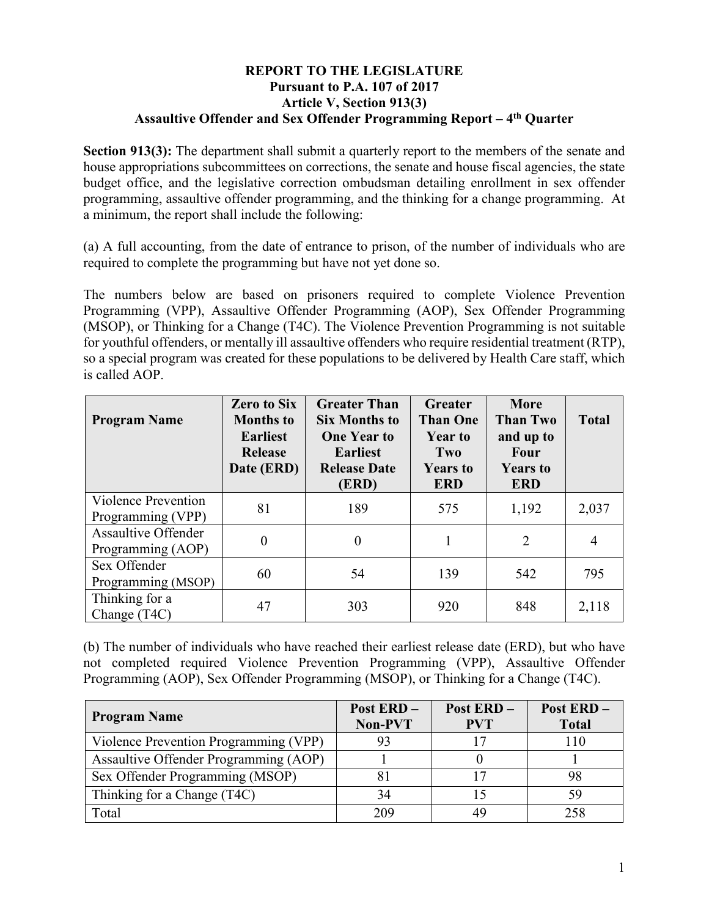## **REPORT TO THE LEGISLATURE Pursuant to P.A. 107 of 2017 Article V, Section 913(3) Assaultive Offender and Sex Offender Programming Report – 4th Quarter**

**Section 913(3):** The department shall submit a quarterly report to the members of the senate and house appropriations subcommittees on corrections, the senate and house fiscal agencies, the state budget office, and the legislative correction ombudsman detailing enrollment in sex offender programming, assaultive offender programming, and the thinking for a change programming. At a minimum, the report shall include the following:

(a) A full accounting, from the date of entrance to prison, of the number of individuals who are required to complete the programming but have not yet done so.

The numbers below are based on prisoners required to complete Violence Prevention Programming (VPP), Assaultive Offender Programming (AOP), Sex Offender Programming (MSOP), or Thinking for a Change (T4C). The Violence Prevention Programming is not suitable for youthful offenders, or mentally ill assaultive offenders who require residential treatment (RTP), so a special program was created for these populations to be delivered by Health Care staff, which is called AOP.

| <b>Program Name</b>                             | <b>Zero to Six</b><br><b>Months</b> to<br><b>Earliest</b><br><b>Release</b><br>Date (ERD) | <b>Greater Than</b><br><b>Six Months to</b><br><b>One Year to</b><br><b>Earliest</b><br><b>Release Date</b><br>(ERD) | <b>Greater</b><br><b>Than One</b><br><b>Year to</b><br>Two<br><b>Years to</b><br><b>ERD</b> | <b>More</b><br><b>Than Two</b><br>and up to<br><b>Four</b><br><b>Years to</b><br><b>ERD</b> | <b>Total</b>   |
|-------------------------------------------------|-------------------------------------------------------------------------------------------|----------------------------------------------------------------------------------------------------------------------|---------------------------------------------------------------------------------------------|---------------------------------------------------------------------------------------------|----------------|
| Violence Prevention<br>Programming (VPP)        | 81                                                                                        | 189                                                                                                                  | 575                                                                                         | 1,192                                                                                       | 2,037          |
| <b>Assaultive Offender</b><br>Programming (AOP) | $\theta$                                                                                  | $\theta$                                                                                                             | 1                                                                                           | $\overline{2}$                                                                              | $\overline{4}$ |
| Sex Offender<br>Programming (MSOP)              | 60                                                                                        | 54                                                                                                                   | 139                                                                                         | 542                                                                                         | 795            |
| Thinking for a<br>Change (T4C)                  | 47                                                                                        | 303                                                                                                                  | 920                                                                                         | 848                                                                                         | 2,118          |

(b) The number of individuals who have reached their earliest release date (ERD), but who have not completed required Violence Prevention Programming (VPP), Assaultive Offender Programming (AOP), Sex Offender Programming (MSOP), or Thinking for a Change (T4C).

| <b>Program Name</b>                   | <b>Post ERD -</b><br>Non-PVT | Post ERD-<br><b>PVT</b> | Post ERD-<br><b>Total</b> |
|---------------------------------------|------------------------------|-------------------------|---------------------------|
| Violence Prevention Programming (VPP) |                              |                         | 110                       |
| Assaultive Offender Programming (AOP) |                              |                         |                           |
| Sex Offender Programming (MSOP)       |                              |                         | 98                        |
| Thinking for a Change (T4C)           | 34                           |                         | 59                        |
| Total                                 | 209                          | 40                      | 258                       |